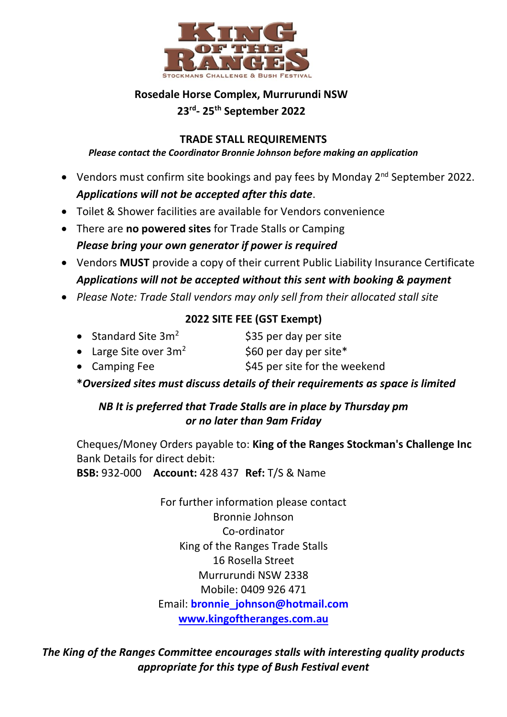

## **Rosedale Horse Complex, Murrurundi NSW 23 rd - 25th September 2022**

#### **TRADE STALL REQUIREMENTS**

#### *Please contact the Coordinator Bronnie Johnson before making an application*

- Vendors must confirm site bookings and pay fees by Monday 2<sup>nd</sup> September 2022. *Applications will not be accepted after this date*.
- Toilet & Shower facilities are available for Vendors convenience
- There are **no powered sites** for Trade Stalls or Camping *Please bring your own generator if power is required*
- Vendors **MUST** provide a copy of their current Public Liability Insurance Certificate *Applications will not be accepted without this sent with booking & payment*
- *Please Note: Trade Stall vendors may only sell from their allocated stall site*

### **2022 SITE FEE (GST Exempt)**

- Standard Site  $3m^2$  \$35 per day per site
- Large Site over  $3m^2$  \$60 per day per site\*
- Camping Fee  $$45$  per site for the weekend
- **\****Oversized sites must discuss details of their requirements as space is limited*

## *NB It is preferred that Trade Stalls are in place by Thursday pm or no later than 9am Friday*

Cheques/Money Orders payable to: **King of the Ranges Stockman's Challenge Inc** Bank Details for direct debit:

**BSB:** 932-000 **Account:** 428 437 **Ref:** T/S & Name

For further information please contact Bronnie Johnson Co-ordinator King of the Ranges Trade Stalls 16 Rosella Street Murrurundi NSW 2338 Mobile: 0409 926 471 Email: **[bronnie\\_johnson@hotmail.com](mailto:bronnie_johnson@hotmail.com) [www.kingoftheranges.com.au](http://www.kingoftheranges.com.au/)**

*The King of the Ranges Committee encourages stalls with interesting quality products appropriate for this type of Bush Festival event*